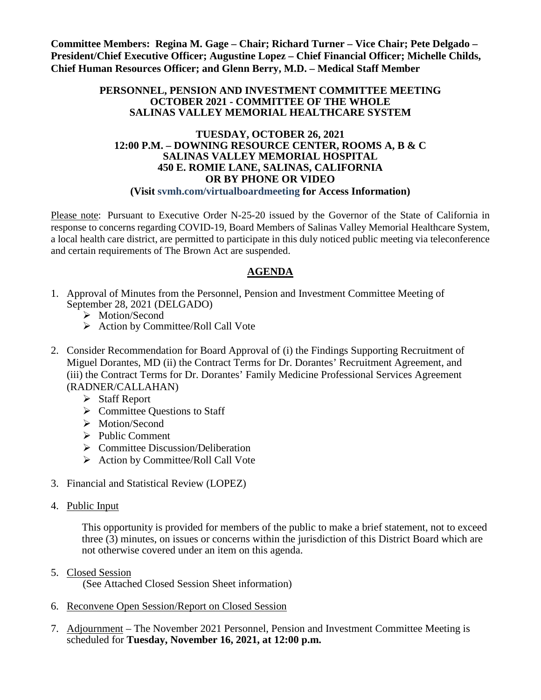**Committee Members: Regina M. Gage – Chair; Richard Turner – Vice Chair; Pete Delgado – President/Chief Executive Officer; Augustine Lopez – Chief Financial Officer; Michelle Childs, Chief Human Resources Officer; and Glenn Berry, M.D. – Medical Staff Member**

#### **PERSONNEL, PENSION AND INVESTMENT COMMITTEE MEETING OCTOBER 2021 - COMMITTEE OF THE WHOLE SALINAS VALLEY MEMORIAL HEALTHCARE SYSTEM**

#### **TUESDAY, OCTOBER 26, 2021 12:00 P.M. – DOWNING RESOURCE CENTER, ROOMS A, B & C SALINAS VALLEY MEMORIAL HOSPITAL 450 E. ROMIE LANE, SALINAS, CALIFORNIA OR BY PHONE OR VIDEO (Visit svmh.com/virtualboardmeeting for Access Information)**

Please note: Pursuant to Executive Order N-25-20 issued by the Governor of the State of California in response to concerns regarding COVID-19, Board Members of Salinas Valley Memorial Healthcare System, a local health care district, are permitted to participate in this duly noticed public meeting via teleconference and certain requirements of The Brown Act are suspended.

# **AGENDA**

- 1. Approval of Minutes from the Personnel, Pension and Investment Committee Meeting of September 28, 2021 (DELGADO)
	- > Motion/Second
	- $\triangleright$  Action by Committee/Roll Call Vote
- 2. Consider Recommendation for Board Approval of (i) the Findings Supporting Recruitment of Miguel Dorantes, MD (ii) the Contract Terms for Dr. Dorantes' Recruitment Agreement, and (iii) the Contract Terms for Dr. Dorantes' Family Medicine Professional Services Agreement (RADNER/CALLAHAN)
	- Staff Report
	- $\triangleright$  Committee Questions to Staff
	- > Motion/Second
	- $\triangleright$  Public Comment
	- $\triangleright$  Committee Discussion/Deliberation
	- $\triangleright$  Action by Committee/Roll Call Vote
- 3. Financial and Statistical Review (LOPEZ)
- 4. Public Input

This opportunity is provided for members of the public to make a brief statement, not to exceed three (3) minutes, on issues or concerns within the jurisdiction of this District Board which are not otherwise covered under an item on this agenda.

5. Closed Session

(See Attached Closed Session Sheet information)

- 6. Reconvene Open Session/Report on Closed Session
- 7. Adjournment The November 2021 Personnel, Pension and Investment Committee Meeting is scheduled for **Tuesday, November 16, 2021, at 12:00 p.m.**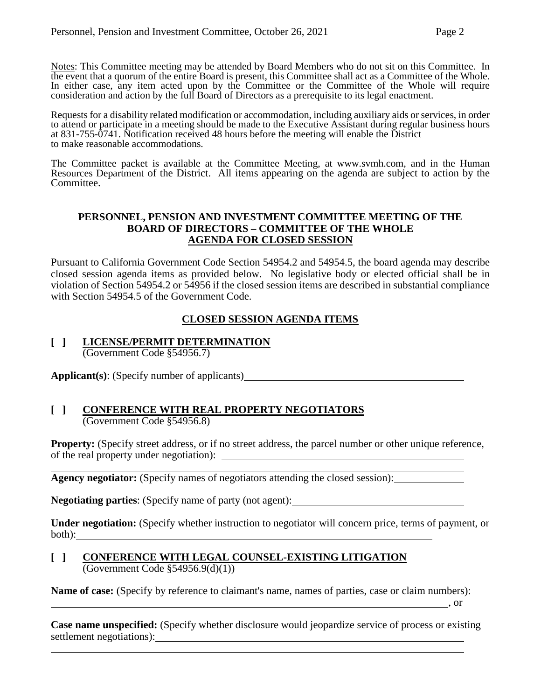Notes: This Committee meeting may be attended by Board Members who do not sit on this Committee. In the event that a quorum of the entire Board is present, this Committee shall act as a Committee of the Whole. In either case, any item acted upon by the Committee or the Committee of the Whole will require consideration and action by the full Board of Directors as a prerequisite to its legal enactment.

Requests for a disability related modification or accommodation, including auxiliary aids or services, in order to attend or participate in a meeting should be made to the Executive Assistant during regular business hours at 831-755-0741. Notification received 48 hours before the meeting will enable the District to make reasonable accommodations.

The Committee packet is available at the Committee Meeting, at [www.svmh.com,](http://www.svmh.com/) and in the Human Resources Department of the District. All items appearing on the agenda are subject to action by the Committee.

### **PERSONNEL, PENSION AND INVESTMENT COMMITTEE MEETING OF THE BOARD OF DIRECTORS – COMMITTEE OF THE WHOLE AGENDA FOR CLOSED SESSION**

Pursuant to California Government Code Section 54954.2 and 54954.5, the board agenda may describe closed session agenda items as provided below. No legislative body or elected official shall be in violation of Section 54954.2 or 54956 if the closed session items are described in substantial compliance with Section 54954.5 of the Government Code.

# **CLOSED SESSION AGENDA ITEMS**

#### **[ ] LICENSE/PERMIT DETERMINATION** (Government Code §54956.7)

**Applicant(s)**: (Specify number of applicants)

### **[ ] CONFERENCE WITH REAL PROPERTY NEGOTIATORS** (Government Code §54956.8)

**Property:** (Specify street address, or if no street address, the parcel number or other unique reference, of the real property under negotiation):

**Agency negotiator:** (Specify names of negotiators attending the closed session):

**Negotiating parties**: (Specify name of party (not agent):

**Under negotiation:** (Specify whether instruction to negotiator will concern price, terms of payment, or both):

### **[ ] CONFERENCE WITH LEGAL COUNSEL-EXISTING LITIGATION**  $\overline{(Government Code \$ \$54956.9(d)(1))

**Name of case:** (Specify by reference to claimant's name, names of parties, case or claim numbers):

**Case name unspecified:** (Specify whether disclosure would jeopardize service of process or existing settlement negotiations):

, or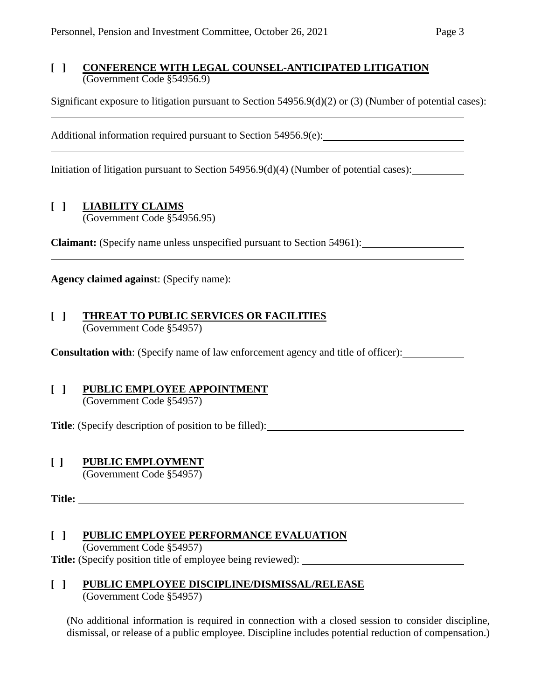### **[ ] CONFERENCE WITH LEGAL COUNSEL-ANTICIPATED LITIGATION** (Government Code §54956.9)

Significant exposure to litigation pursuant to Section 54956.9(d)(2) or (3) (Number of potential cases):

Additional information required pursuant to Section 54956.9(e): \_\_\_\_\_\_\_\_\_\_\_\_\_\_\_\_

Initiation of litigation pursuant to Section 54956.9(d)(4) (Number of potential cases):

## **[ ] LIABILITY CLAIMS**

(Government Code §54956.95)

**Claimant:** (Specify name unless unspecified pursuant to Section 54961):

**Agency claimed against**: (Specify name):

#### **[ ] THREAT TO PUBLIC SERVICES OR FACILITIES** (Government Code §54957)

**Consultation with**: (Specify name of law enforcement agency and title of officer):

#### **[ ] PUBLIC EMPLOYEE APPOINTMENT** (Government Code §54957)

**Title**: (Specify description of position to be filled):

## **[ ] PUBLIC EMPLOYMENT**

(Government Code §54957)

**Title:** 

# **[ ] PUBLIC EMPLOYEE PERFORMANCE EVALUATION**

(Government Code §54957)

**Title:** (Specify position title of employee being reviewed):

### **[ ] PUBLIC EMPLOYEE DISCIPLINE/DISMISSAL/RELEASE** (Government Code §54957)

(No additional information is required in connection with a closed session to consider discipline, dismissal, or release of a public employee. Discipline includes potential reduction of compensation.)